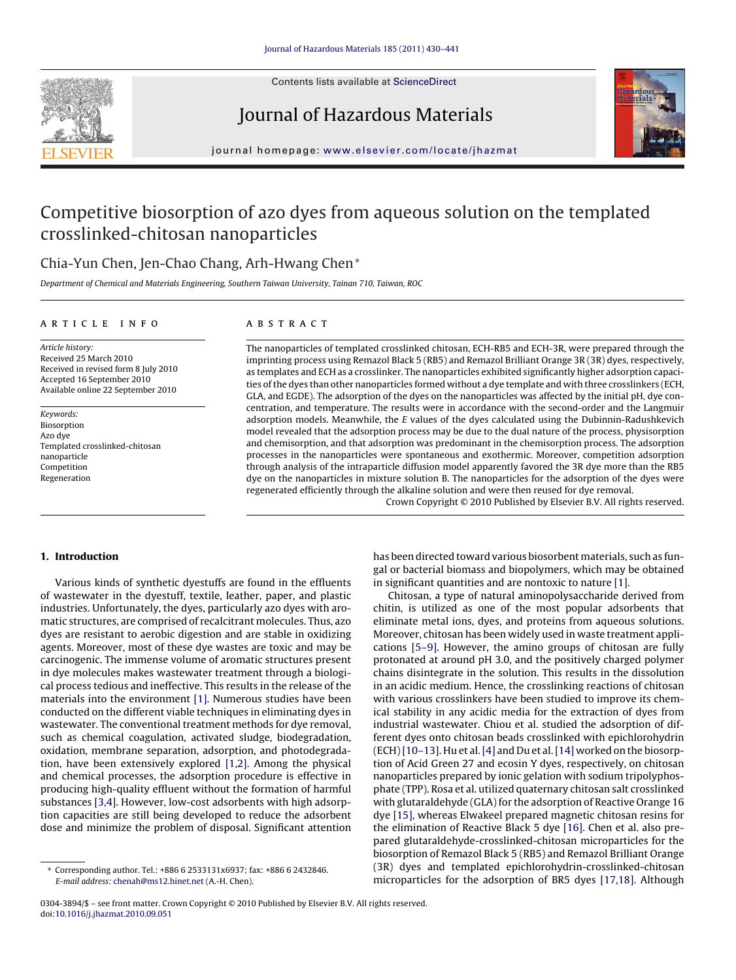

Contents lists available at [ScienceDirect](http://www.sciencedirect.com/science/journal/03043894)

## Journal of Hazardous Materials



journal homepage: [www.elsevier.com/locate/jhazmat](http://www.elsevier.com/locate/jhazmat)

# Competitive biosorption of azo dyes from aqueous solution on the templated crosslinked-chitosan nanoparticles

## Chia-Yun Chen, Jen-Chao Chang, Arh-Hwang Chen<sup>∗</sup>

Department of Chemical and Materials Engineering, Southern Taiwan University, Tainan 710, Taiwan, ROC

## article info

## **ABSTRACT**

Article history: Received 25 March 2010 Received in revised form 8 July 2010 Accepted 16 September 2010 Available online 22 September 2010

Keywords: Biosorption Azo dye Templated crosslinked-chitosan nanoparticle Competition Regeneration

The nanoparticles of templated crosslinked chitosan, ECH-RB5 and ECH-3R, were prepared through the imprinting process using Remazol Black 5 (RB5) and Remazol Brilliant Orange 3R (3R) dyes, respectively, as templates and ECH as a crosslinker. The nanoparticles exhibited significantly higher adsorption capacities of the dyes than other nanoparticles formed without a dye template and with three crosslinkers (ECH, GLA, and EGDE). The adsorption of the dyes on the nanoparticles was affected by the initial pH, dye concentration, and temperature. The results were in accordance with the second-order and the Langmuir adsorption models. Meanwhile, the  $E$  values of the dyes calculated using the Dubinnin-Radushkevich model revealed that the adsorption process may be due to the dual nature of the process, physisorption and chemisorption, and that adsorption was predominant in the chemisorption process. The adsorption processes in the nanoparticles were spontaneous and exothermic. Moreover, competition adsorption through analysis of the intraparticle diffusion model apparently favored the 3R dye more than the RB5 dye on the nanoparticles in mixture solution B. The nanoparticles for the adsorption of the dyes were regenerated efficiently through the alkaline solution and were then reused for dye removal.

Crown Copyright © 2010 Published by Elsevier B.V. All rights reserved.

## **1. Introduction**

Various kinds of synthetic dyestuffs are found in the effluents of wastewater in the dyestuff, textile, leather, paper, and plastic industries. Unfortunately, the dyes, particularly azo dyes with aromatic structures, are comprised of recalcitrant molecules. Thus, azo dyes are resistant to aerobic digestion and are stable in oxidizing agents. Moreover, most of these dye wastes are toxic and may be carcinogenic. The immense volume of aromatic structures present in dye molecules makes wastewater treatment through a biological process tedious and ineffective. This results in the release of the materials into the environment [\[1\]. N](#page-10-0)umerous studies have been conducted on the different viable techniques in eliminating dyes in wastewater. The conventional treatment methods for dye removal, such as chemical coagulation, activated sludge, biodegradation, oxidation, membrane separation, adsorption, and photodegradation, have been extensively explored [\[1,2\].](#page-10-0) Among the physical and chemical processes, the adsorption procedure is effective in producing high-quality effluent without the formation of harmful substances [\[3,4\]. H](#page-10-0)owever, low-cost adsorbents with high adsorption capacities are still being developed to reduce the adsorbent dose and minimize the problem of disposal. Significant attention has been directed toward various biosorbent materials, such as fungal or bacterial biomass and biopolymers, which may be obtained in significant quantities and are nontoxic to nature [\[1\].](#page-10-0)

Chitosan, a type of natural aminopolysaccharide derived from chitin, is utilized as one of the most popular adsorbents that eliminate metal ions, dyes, and proteins from aqueous solutions. Moreover, chitosan has been widely used in waste treatment applications [\[5–9\].](#page-11-0) However, the amino groups of chitosan are fully protonated at around pH 3.0, and the positively charged polymer chains disintegrate in the solution. This results in the dissolution in an acidic medium. Hence, the crosslinking reactions of chitosan with various crosslinkers have been studied to improve its chemical stability in any acidic media for the extraction of dyes from industrial wastewater. Chiou et al. studied the adsorption of different dyes onto chitosan beads crosslinked with epichlorohydrin (ECH)[\[10–13\]. H](#page-11-0)u et al.[\[4\]](#page-10-0) and Du et al.[\[14\]](#page-11-0) worked on the biosorption of Acid Green 27 and ecosin Y dyes, respectively, on chitosan nanoparticles prepared by ionic gelation with sodium tripolyphosphate (TPP). Rosa et al. utilized quaternary chitosan salt crosslinked with glutaraldehyde (GLA) for the adsorption of Reactive Orange 16 dye [\[15\], w](#page-11-0)hereas Elwakeel prepared magnetic chitosan resins for the elimination of Reactive Black 5 dye [\[16\]. C](#page-11-0)hen et al. also prepared glutaraldehyde-crosslinked-chitosan microparticles for the biosorption of Remazol Black 5 (RB5) and Remazol Brilliant Orange (3R) dyes and templated epichlorohydrin-crosslinked-chitosan microparticles for the adsorption of BR5 dyes [\[17,18\].](#page-11-0) Although

<sup>∗</sup> Corresponding author. Tel.: +886 6 2533131x6937; fax: +886 6 2432846. E-mail address: [chenah@ms12.hinet.net](mailto:chenah@ms12.hinet.net) (A.-H. Chen).

<sup>0304-3894/\$ –</sup> see front matter. Crown Copyright © 2010 Published by Elsevier B.V. All rights reserved. doi:[10.1016/j.jhazmat.2010.09.051](dx.doi.org/10.1016/j.jhazmat.2010.09.051)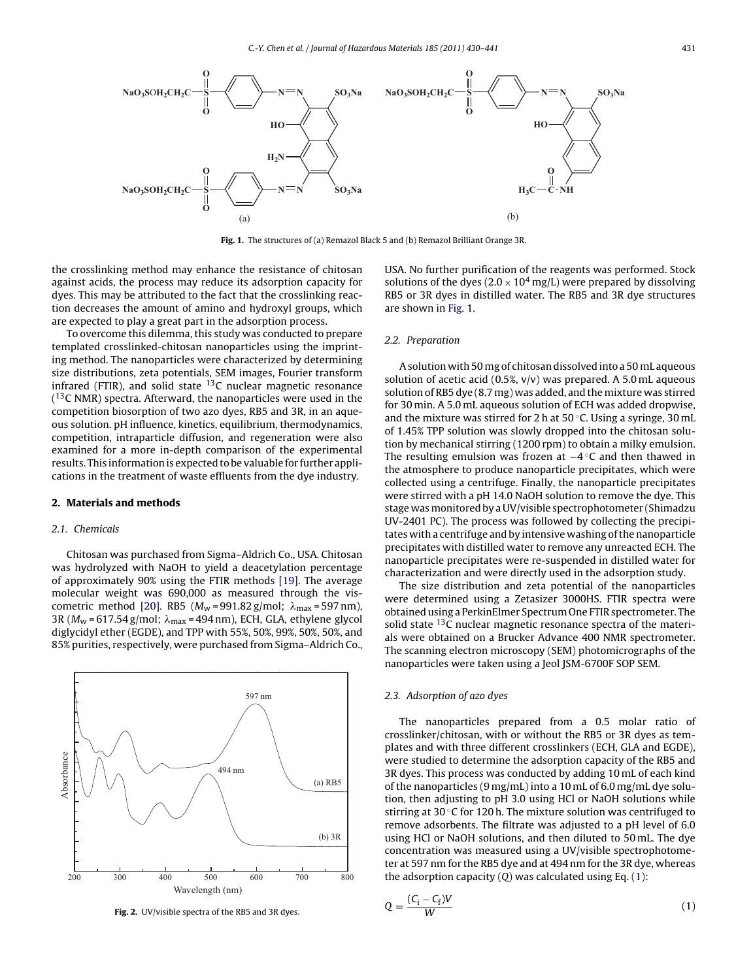<span id="page-1-0"></span>

**Fig. 1.** The structures of (a) Remazol Black 5 and (b) Remazol Brilliant Orange 3R.

the crosslinking method may enhance the resistance of chitosan against acids, the process may reduce its adsorption capacity for dyes. This may be attributed to the fact that the crosslinking reaction decreases the amount of amino and hydroxyl groups, which are expected to play a great part in the adsorption process.

To overcome this dilemma, this study was conducted to prepare templated crosslinked-chitosan nanoparticles using the imprinting method. The nanoparticles were characterized by determining size distributions, zeta potentials, SEM images, Fourier transform infrared (FTIR), and solid state  $13C$  nuclear magnetic resonance  $(13)$ C NMR) spectra. Afterward, the nanoparticles were used in the competition biosorption of two azo dyes, RB5 and 3R, in an aqueous solution. pH influence, kinetics, equilibrium, thermodynamics, competition, intraparticle diffusion, and regeneration were also examined for a more in-depth comparison of the experimental results. This information is expected to be valuable for further applications in the treatment of waste effluents from the dye industry.

### **2. Materials and methods**

### 2.1. Chemicals

Chitosan was purchased from Sigma–Aldrich Co., USA. Chitosan was hydrolyzed with NaOH to yield a deacetylation percentage of approximately 90% using the FTIR methods [\[19\].](#page-11-0) The average molecular weight was 690,000 as measured through the vis-cometric method [\[20\].](#page-11-0) RB5 (M<sub>w</sub>=991.82 g/mol;  $\lambda_{\text{max}}$ =597 nm), 3R (M<sub>w</sub> = 617.54 g/mol;  $\lambda_{\text{max}}$  = 494 nm), ECH, GLA, ethylene glycol diglycidyl ether (EGDE), and TPP with 55%, 50%, 99%, 50%, 50%, and 85% purities, respectively, were purchased from Sigma–Aldrich Co.,



**Fig. 2.** UV/visible spectra of the RB5 and 3R dyes.

USA. No further purification of the reagents was performed. Stock solutions of the dyes ( $2.0 \times 10^4$  mg/L) were prepared by dissolving RB5 or 3R dyes in distilled water. The RB5 and 3R dye structures are shown in Fig. 1.

## 2.2. Preparation

A solution with 50 mg of chitosan dissolved into a 50 mL aqueous solution of acetic acid  $(0.5\%, v/v)$  was prepared. A 5.0 mL aqueous solution of RB5 dye (8.7 mg) was added, and the mixture was stirred for 30 min. A 5.0 mL aqueous solution of ECH was added dropwise, and the mixture was stirred for 2 h at  $50^{\circ}$ C. Using a syringe, 30 mL of 1.45% TPP solution was slowly dropped into the chitosan solution by mechanical stirring (1200 rpm) to obtain a milky emulsion. The resulting emulsion was frozen at −4 ◦C and then thawed in the atmosphere to produce nanoparticle precipitates, which were collected using a centrifuge. Finally, the nanoparticle precipitates were stirred with a pH 14.0 NaOH solution to remove the dye. This stage was monitored by a UV/visible spectrophotometer (Shimadzu UV-2401 PC). The process was followed by collecting the precipitates with a centrifuge and by intensive washing of the nanoparticle precipitates with distilled water to remove any unreacted ECH. The nanoparticle precipitates were re-suspended in distilled water for characterization and were directly used in the adsorption study.

The size distribution and zeta potential of the nanoparticles were determined using a Zetasizer 3000HS. FTIR spectra were obtained using a PerkinElmer Spectrum One FTIR spectrometer. The solid state  $13C$  nuclear magnetic resonance spectra of the materials were obtained on a Brucker Advance 400 NMR spectrometer. The scanning electron microscopy (SEM) photomicrographs of the nanoparticles were taken using a Jeol JSM-6700F SOP SEM.

#### 2.3. Adsorption of azo dyes

The nanoparticles prepared from a 0.5 molar ratio of crosslinker/chitosan, with or without the RB5 or 3R dyes as templates and with three different crosslinkers (ECH, GLA and EGDE), were studied to determine the adsorption capacity of the RB5 and 3R dyes. This process was conducted by adding 10 mL of each kind of the nanoparticles (9 mg/mL) into a 10 mL of 6.0 mg/mL dye solution, then adjusting to pH 3.0 using HCl or NaOH solutions while stirring at 30 ◦C for 120 h. The mixture solution was centrifuged to remove adsorbents. The filtrate was adjusted to a pH level of 6.0 using HCl or NaOH solutions, and then diluted to 50 mL. The dye concentration was measured using a UV/visible spectrophotometer at 597 nm for the RB5 dye and at 494 nm for the 3R dye, whereas the adsorption capacity  $(Q)$  was calculated using Eq.  $(1)$ :

$$
Q = \frac{(C_i - C_f)V}{W} \tag{1}
$$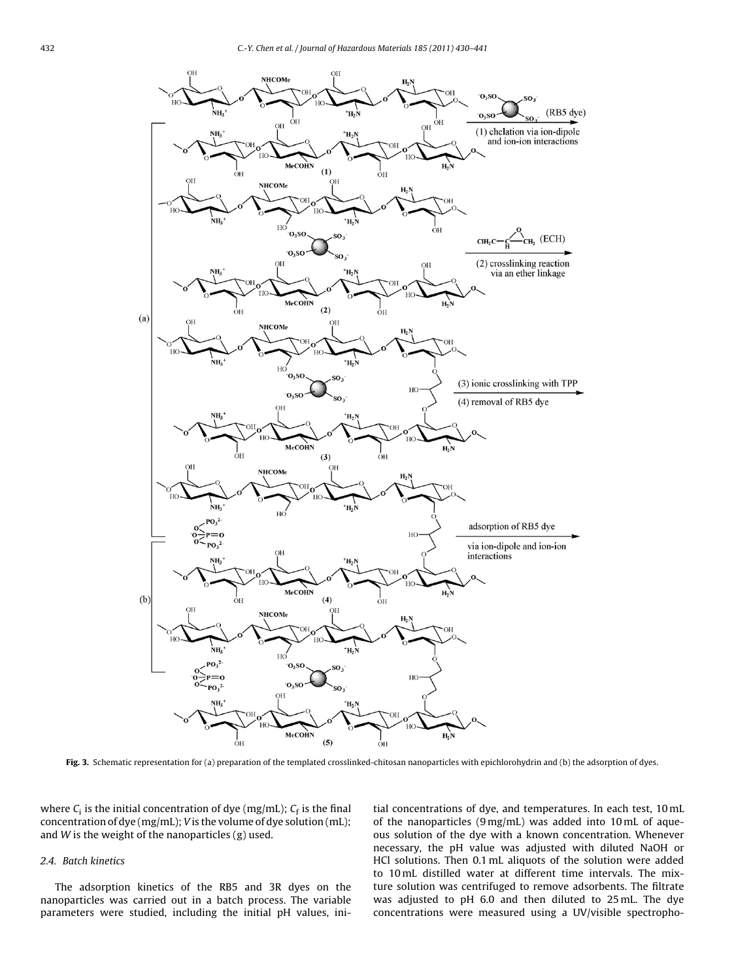<span id="page-2-0"></span>

**Fig. 3.** Schematic representation for (a) preparation of the templated crosslinked-chitosan nanoparticles with epichlorohydrin and (b) the adsorption of dyes.

where  $C_i$  is the initial concentration of dye (mg/mL);  $C_f$  is the final concentration of dye (mg/mL); V is the volume of dye solution (mL); and  $W$  is the weight of the nanoparticles  $(g)$  used.

## 2.4. Batch kinetics

The adsorption kinetics of the RB5 and 3R dyes on the nanoparticles was carried out in a batch process. The variable parameters were studied, including the initial pH values, initial concentrations of dye, and temperatures. In each test, 10 mL of the nanoparticles (9 mg/mL) was added into 10 mL of aqueous solution of the dye with a known concentration. Whenever necessary, the pH value was adjusted with diluted NaOH or HCl solutions. Then 0.1 mL aliquots of the solution were added to 10 mL distilled water at different time intervals. The mixture solution was centrifuged to remove adsorbents. The filtrate was adjusted to pH 6.0 and then diluted to 25 mL. The dye concentrations were measured using a UV/visible spectropho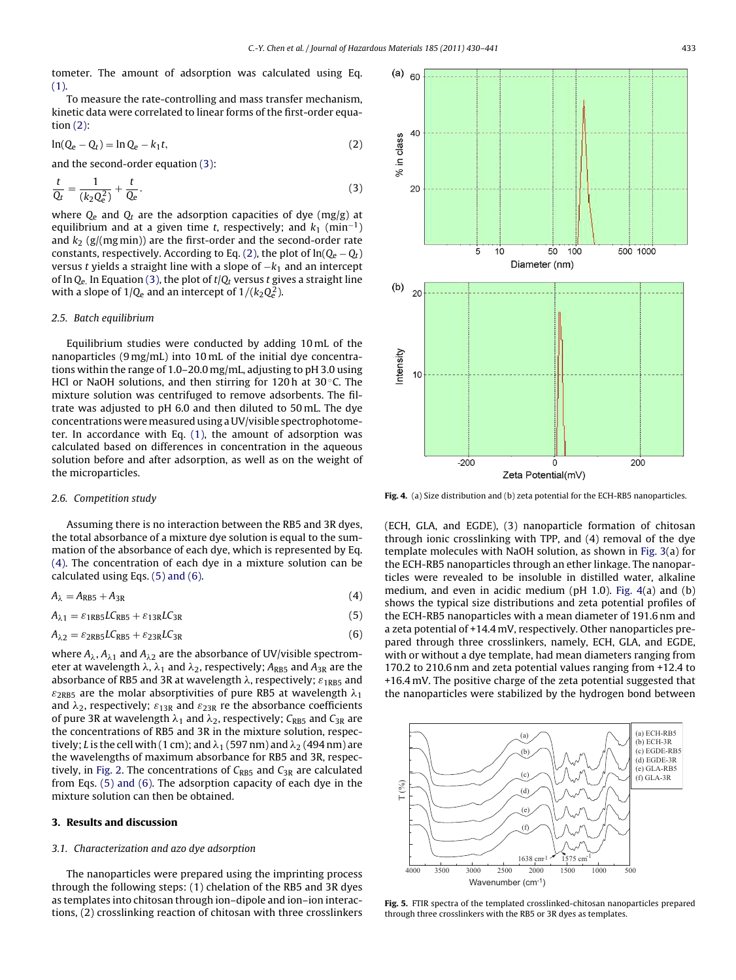<span id="page-3-0"></span>tometer. The amount of adsorption was calculated using Eq. [\(1\).](#page-1-0)

To measure the rate-controlling and mass transfer mechanism, kinetic data were correlated to linear forms of the first-order equation (2):

$$
\ln(Q_e - Q_t) = \ln Q_e - k_1 t,\tag{2}
$$

and the second-order equation (3):

$$
\frac{t}{Q_t} = \frac{1}{(k_2 Q_e^2)} + \frac{t}{Q_e}.
$$
\n(3)

where  $Q_e$  and  $Q_t$  are the adsorption capacities of dye (mg/g) at equilibrium and at a given time t, respectively; and  $k_1$  (min<sup>-1</sup>) and  $k_2$  (g/(mg min)) are the first-order and the second-order rate constants, respectively. According to Eq. (2), the plot of  $ln(Q_e - Q_t)$ versus t yields a straight line with a slope of  $-k<sub>1</sub>$  and an intercept of ln  $Q_{e}$ . In Equation (3), the plot of  $t/Q_t$  versus t gives a straight line with a slope of 1/Q<sub>e</sub> and an intercept of 1/( $k_2Q^2_e$ ).

## 2.5. Batch equilibrium

Equilibrium studies were conducted by adding 10 mL of the nanoparticles (9 mg/mL) into 10 mL of the initial dye concentrations within the range of 1.0–20.0 mg/mL, adjusting to pH 3.0 using HCl or NaOH solutions, and then stirring for 120 h at 30 $\degree$ C. The mixture solution was centrifuged to remove adsorbents. The filtrate was adjusted to pH 6.0 and then diluted to 50 mL. The dye concentrations weremeasured using a UV/visible spectrophotometer. In accordance with Eq. [\(1\),](#page-1-0) the amount of adsorption was calculated based on differences in concentration in the aqueous solution before and after adsorption, as well as on the weight of the microparticles.

#### 2.6. Competition study

Assuming there is no interaction between the RB5 and 3R dyes, the total absorbance of a mixture dye solution is equal to the summation of the absorbance of each dye, which is represented by Eq. (4). The concentration of each dye in a mixture solution can be calculated using Eqs. (5) and (6).

$$
A_{\lambda} = A_{RB5} + A_{3R} \tag{4}
$$

 $A_{\lambda 1} = \varepsilon_{1RBS} L C_{RB5} + \varepsilon_{13R} L C_{3R}$  (5)

$$
A_{\lambda 2} = \varepsilon_{2RB5} LC_{RB5} + \varepsilon_{23R} LC_{3R}
$$
 (6)

where  $A_\lambda$ ,  $A_{\lambda 1}$  and  $A_{\lambda 2}$  are the absorbance of UV/visible spectrometer at wavelength  $\lambda$ ,  $\lambda_1$  and  $\lambda_2$ , respectively;  $A_{\text{RB}5}$  and  $A_{\text{3R}}$  are the absorbance of RB5 and 3R at wavelength  $\lambda$ , respectively;  $\varepsilon_{\rm 1RB5}$  and  $\varepsilon_{\rm 2RB5}$  are the molar absorptivities of pure RB5 at wavelength  $\lambda_1$ and  $\lambda_2$ , respectively;  $\varepsilon_{13\mathrm{R}}$  and  $\varepsilon_{23\mathrm{R}}$  re the absorbance coefficients of pure 3R at wavelength  $\lambda_1$  and  $\lambda_2$ , respectively;  $C_{\sf RB5}$  and  $C_{\sf 3R}$  are the concentrations of RB5 and 3R in the mixture solution, respectively;  $L$  is the cell with ( 1 cm); and  $\lambda_1$  (597 nm) and  $\lambda_2$  (494 nm) are the wavelengths of maximum absorbance for RB5 and 3R, respec-tively, in [Fig. 2. T](#page-1-0)he concentrations of  $C_{RB5}$  and  $C_{3R}$  are calculated from Eqs. (5) and (6). The adsorption capacity of each dye in the mixture solution can then be obtained.

### **3. Results and discussion**

#### 3.1. Characterization and azo dye adsorption

The nanoparticles were prepared using the imprinting process through the following steps: (1) chelation of the RB5 and 3R dyes as templates into chitosan through ion–dipole and ion–ion interactions, (2) crosslinking reaction of chitosan with three crosslinkers



**Fig. 4.** (a) Size distribution and (b) zeta potential for the ECH-RB5 nanoparticles.

(ECH, GLA, and EGDE), (3) nanoparticle formation of chitosan through ionic crosslinking with TPP, and (4) removal of the dye template molecules with NaOH solution, as shown in [Fig. 3\(a](#page-2-0)) for the ECH-RB5 nanoparticles through an ether linkage. The nanoparticles were revealed to be insoluble in distilled water, alkaline medium, and even in acidic medium (pH 1.0). Fig. 4(a) and (b) shows the typical size distributions and zeta potential profiles of the ECH-RB5 nanoparticles with a mean diameter of 191.6 nm and a zeta potential of +14.4 mV, respectively. Other nanoparticles prepared through three crosslinkers, namely, ECH, GLA, and EGDE, with or without a dye template, had mean diameters ranging from 170.2 to 210.6 nm and zeta potential values ranging from +12.4 to +16.4 mV. The positive charge of the zeta potential suggested that the nanoparticles were stabilized by the hydrogen bond between



**Fig. 5.** FTIR spectra of the templated crosslinked-chitosan nanoparticles prepared through three crosslinkers with the RB5 or 3R dyes as templates.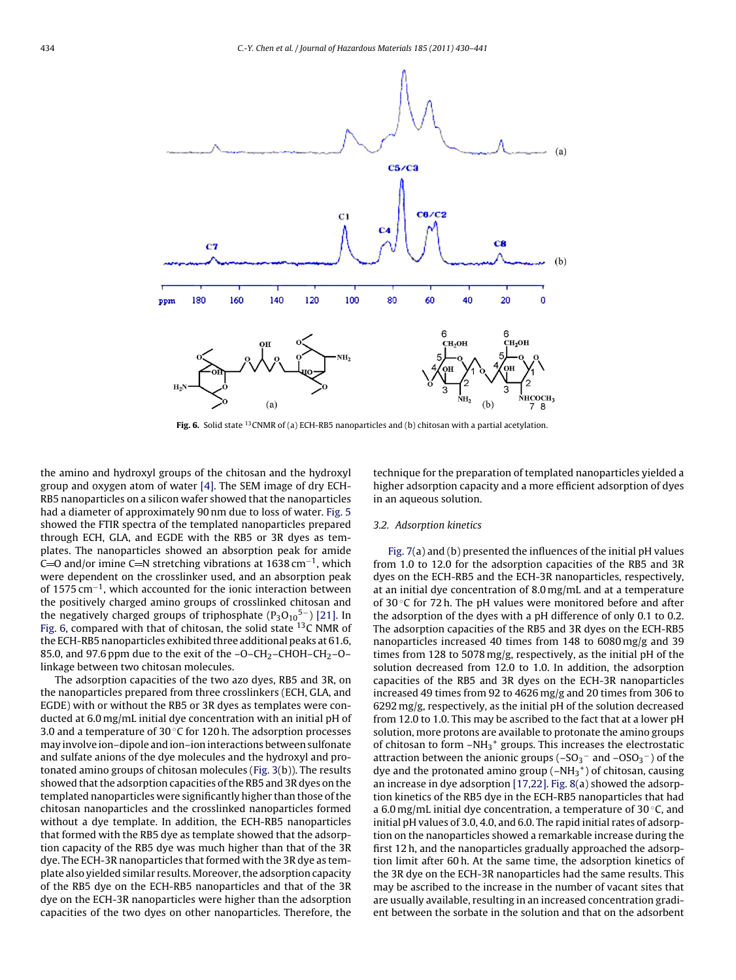

**Fig. 6.** Solid state 13CNMR of (a) ECH-RB5 nanoparticles and (b) chitosan with a partial acetylation.

the amino and hydroxyl groups of the chitosan and the hydroxyl group and oxygen atom of water [\[4\]. T](#page-10-0)he SEM image of dry ECH-RB5 nanoparticles on a silicon wafer showed that the nanoparticles had a diameter of approximately 90 nm due to loss of water. [Fig. 5](#page-3-0) showed the FTIR spectra of the templated nanoparticles prepared through ECH, GLA, and EGDE with the RB5 or 3R dyes as templates. The nanoparticles showed an absorption peak for amide C=O and/or imine C=N stretching vibrations at 1638 cm<sup>-1</sup>, which were dependent on the crosslinker used, and an absorption peak of 1575 cm−1, which accounted for the ionic interaction between the positively charged amino groups of crosslinked chitosan and the negatively charged groups of triphosphate  $(P_3O_{10}^{5-})$  [\[21\]. I](#page-11-0)n Fig. 6, compared with that of chitosan, the solid state <sup>13</sup>C NMR of the ECH-RB5 nanoparticles exhibited three additional peaks at 61.6, 85.0, and 97.6 ppm due to the exit of the  $-O-CH_2-CHOH-CH_2-O$ linkage between two chitosan molecules.

The adsorption capacities of the two azo dyes, RB5 and 3R, on the nanoparticles prepared from three crosslinkers (ECH, GLA, and EGDE) with or without the RB5 or 3R dyes as templates were conducted at 6.0 mg/mL initial dye concentration with an initial pH of 3.0 and a temperature of 30 $\degree$ C for 120 h. The adsorption processes may involve ion–dipole and ion–ion interactions between sulfonate and sulfate anions of the dye molecules and the hydroxyl and protonated amino groups of chitosan molecules [\(Fig. 3\(b](#page-2-0))). The results showed that the adsorption capacities of the RB5 and 3R dyes on the templated nanoparticles were significantly higher than those of the chitosan nanoparticles and the crosslinked nanoparticles formed without a dye template. In addition, the ECH-RB5 nanoparticles that formed with the RB5 dye as template showed that the adsorption capacity of the RB5 dye was much higher than that of the 3R dye. The ECH-3R nanoparticles that formed with the 3R dye as template also yielded similar results. Moreover, the adsorption capacity of the RB5 dye on the ECH-RB5 nanoparticles and that of the 3R dye on the ECH-3R nanoparticles were higher than the adsorption capacities of the two dyes on other nanoparticles. Therefore, the technique for the preparation of templated nanoparticles yielded a higher adsorption capacity and a more efficient adsorption of dyes in an aqueous solution.

#### 3.2. Adsorption kinetics

[Fig. 7\(a](#page-5-0)) and (b) presented the influences of the initial pH values from 1.0 to 12.0 for the adsorption capacities of the RB5 and 3R dyes on the ECH-RB5 and the ECH-3R nanoparticles, respectively, at an initial dye concentration of 8.0 mg/mL and at a temperature of 30 $\degree$ C for 72 h. The pH values were monitored before and after the adsorption of the dyes with a pH difference of only 0.1 to 0.2. The adsorption capacities of the RB5 and 3R dyes on the ECH-RB5 nanoparticles increased 40 times from 148 to 6080 mg/g and 39 times from 128 to 5078 mg/g, respectively, as the initial pH of the solution decreased from 12.0 to 1.0. In addition, the adsorption capacities of the RB5 and 3R dyes on the ECH-3R nanoparticles increased 49 times from 92 to 4626 mg/g and 20 times from 306 to 6292 mg/g, respectively, as the initial pH of the solution decreased from 12.0 to 1.0. This may be ascribed to the fact that at a lower pH solution, more protons are available to protonate the amino groups of chitosan to form  $-NH_3$ <sup>+</sup> groups. This increases the electrostatic attraction between the anionic groups (–SO $_3^-$  and –OSO $_3^-$ ) of the dye and the protonated amino group  $(-NH<sub>3</sub><sup>+</sup>)$  of chitosan, causing an increase in dye adsorption [\[17,22\].](#page-11-0) [Fig. 8\(a](#page-5-0)) showed the adsorption kinetics of the RB5 dye in the ECH-RB5 nanoparticles that had a 6.0 mg/mL initial dye concentration, a temperature of 30  $\degree$ C, and initial pH values of 3.0, 4.0, and 6.0. The rapid initial rates of adsorption on the nanoparticles showed a remarkable increase during the first 12 h, and the nanoparticles gradually approached the adsorption limit after 60 h. At the same time, the adsorption kinetics of the 3R dye on the ECH-3R nanoparticles had the same results. This may be ascribed to the increase in the number of vacant sites that are usually available, resulting in an increased concentration gradient between the sorbate in the solution and that on the adsorbent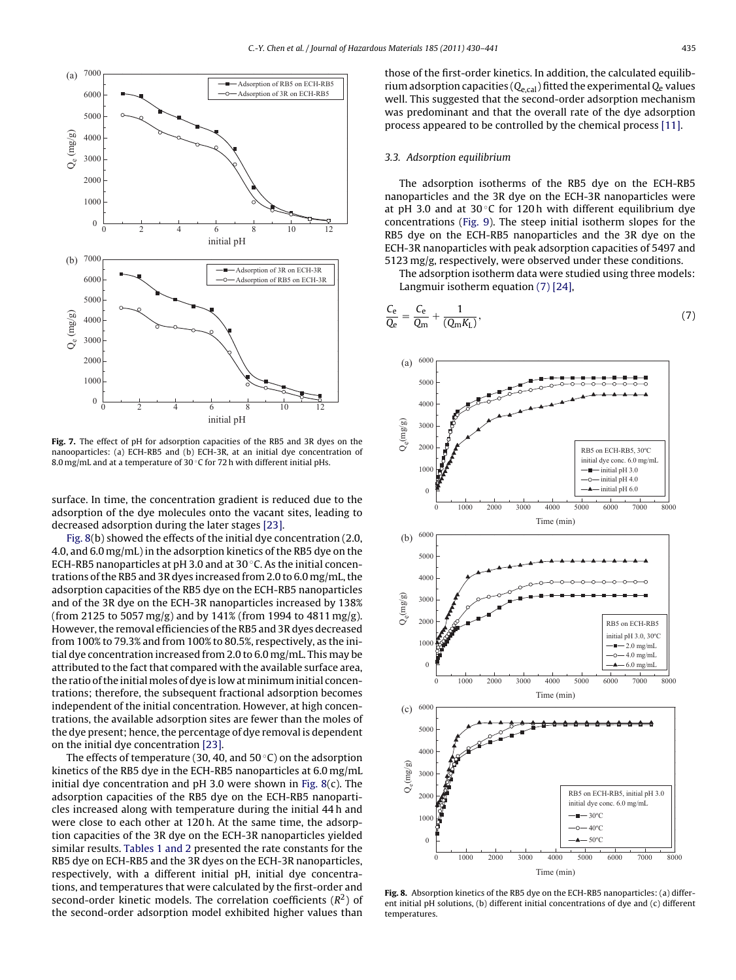<span id="page-5-0"></span>

**Fig. 7.** The effect of pH for adsorption capacities of the RB5 and 3R dyes on the nanooparticles: (a) ECH-RB5 and (b) ECH-3R, at an initial dye concentration of 8.0 mg/mL and at a temperature of 30 °C for 72 h with different initial pHs.

surface. In time, the concentration gradient is reduced due to the adsorption of the dye molecules onto the vacant sites, leading to decreased adsorption during the later stages [\[23\].](#page-11-0)

Fig. 8(b) showed the effects of the initial dye concentration (2.0, 4.0, and 6.0 mg/mL) in the adsorption kinetics of the RB5 dye on the ECH-RB5 nanoparticles at pH 3.0 and at 30 ◦C. As the initial concentrations of the RB5 and 3R dyes increased from 2.0 to 6.0 mg/mL, the adsorption capacities of the RB5 dye on the ECH-RB5 nanoparticles and of the 3R dye on the ECH-3R nanoparticles increased by 138% (from 2125 to 5057 mg/g) and by 141% (from 1994 to 4811 mg/g). However, the removal efficiencies of the RB5 and 3R dyes decreased from 100% to 79.3% and from 100% to 80.5%, respectively, as the initial dye concentration increased from 2.0 to 6.0 mg/mL. This may be attributed to the fact that compared with the available surface area, the ratio of the initial moles of dye is low at minimum initial concentrations; therefore, the subsequent fractional adsorption becomes independent of the initial concentration. However, at high concentrations, the available adsorption sites are fewer than the moles of the dye present; hence, the percentage of dye removal is dependent on the initial dye concentration [\[23\].](#page-11-0)

The effects of temperature (30, 40, and  $50^{\circ}$ C) on the adsorption kinetics of the RB5 dye in the ECH-RB5 nanoparticles at 6.0 mg/mL initial dye concentration and  $pH$  3.0 were shown in Fig. 8(c). The adsorption capacities of the RB5 dye on the ECH-RB5 nanoparticles increased along with temperature during the initial 44 h and were close to each other at 120 h. At the same time, the adsorption capacities of the 3R dye on the ECH-3R nanoparticles yielded similar results. [Tables 1 and 2](#page-6-0) presented the rate constants for the RB5 dye on ECH-RB5 and the 3R dyes on the ECH-3R nanoparticles, respectively, with a different initial pH, initial dye concentrations, and temperatures that were calculated by the first-order and second-order kinetic models. The correlation coefficients  $(R<sup>2</sup>)$  of the second-order adsorption model exhibited higher values than

#### 3.3. Adsorption equilibrium

The adsorption isotherms of the RB5 dye on the ECH-RB5 nanoparticles and the 3R dye on the ECH-3R nanoparticles were at pH 3.0 and at 30 $\degree$ C for 120h with different equilibrium dye concentrations ([Fig. 9\).](#page-7-0) The steep initial isotherm slopes for the RB5 dye on the ECH-RB5 nanoparticles and the 3R dye on the ECH-3R nanoparticles with peak adsorption capacities of 5497 and 5123 mg/g, respectively, were observed under these conditions.

The adsorption isotherm data were studied using three models: Langmuir isotherm equation (7) [\[24\],](#page-11-0)

$$
\frac{C_e}{Q_e} = \frac{C_e}{Q_m} + \frac{1}{(Q_m K_L)},
$$
\n(7)



**Fig. 8.** Absorption kinetics of the RB5 dye on the ECH-RB5 nanoparticles: (a) different initial pH solutions, (b) different initial concentrations of dye and (c) different temperatures.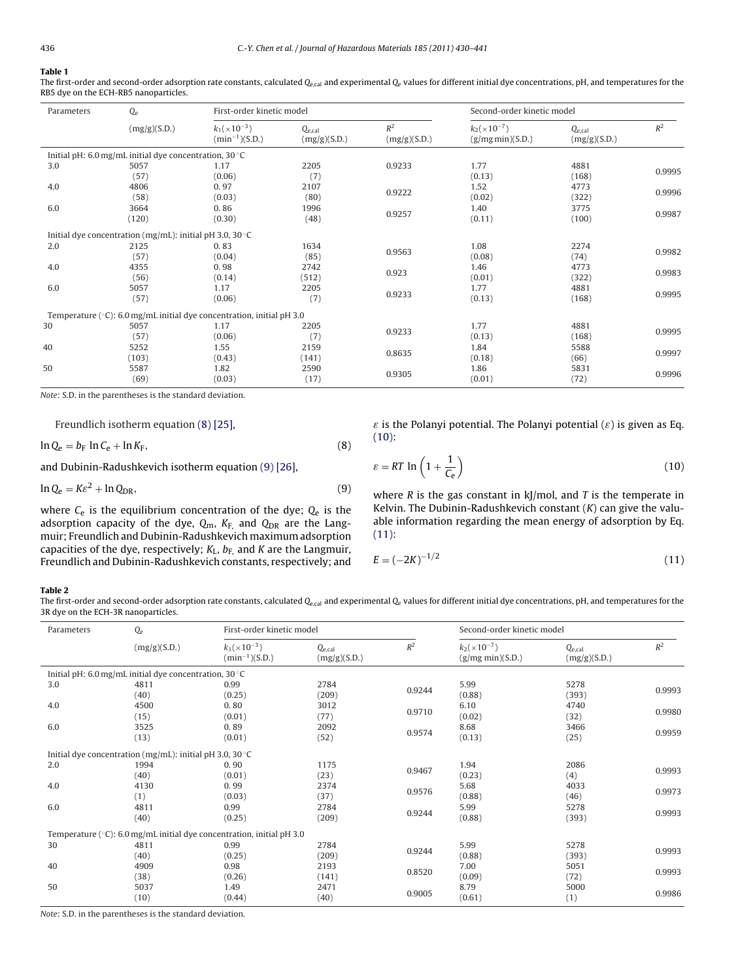## <span id="page-6-0"></span>**Table 1**

The first-order and second-order adsorption rate constants, calculated  $Q_{e,cal}$  and experimental  $Q_e$  values for different initial dye concentrations, pH, and temperatures for the RB5 dye on the ECH-RB5 nanoparticles.

| Parameters | $Q_{e}$                                                           |                                                                                 | First-order kinetic model   |                       |                                           | Second-order kinetic model  |        |  |
|------------|-------------------------------------------------------------------|---------------------------------------------------------------------------------|-----------------------------|-----------------------|-------------------------------------------|-----------------------------|--------|--|
|            | (mg/g)(S.D.)                                                      | $k_1(x10^{-3})$<br>$(min^{-1})(S.D.)$                                           | $Q_{e,cal}$<br>(mg/g)(S.D.) | $R^2$<br>(mg/g)(S.D.) | $k_2(\times 10^{-7})$<br>(g/mg min)(S.D.) | $Q_{e,cal}$<br>(mg/g)(S.D.) | $R^2$  |  |
|            | Initial pH: 6.0 mg/mL initial dye concentration, 30 °C            |                                                                                 |                             |                       |                                           |                             |        |  |
| 3.0        | 5057                                                              | 1.17                                                                            | 2205                        | 0.9233                | 1.77                                      | 4881                        |        |  |
|            | (57)                                                              | (0.06)                                                                          | (7)                         |                       | (0.13)                                    | (168)                       | 0.9995 |  |
| 4.0        | 4806                                                              | 0.97                                                                            | 2107                        |                       | 1.52                                      | 4773                        |        |  |
|            | (58)                                                              | (0.03)                                                                          | (80)                        | 0.9222                | (0.02)                                    | (322)                       | 0.9996 |  |
| 6.0        | 3664                                                              | 0.86                                                                            | 1996                        | 0.9257                | 1.40                                      | 3775                        |        |  |
|            | (120)                                                             | (0.30)                                                                          | (48)                        |                       | (0.11)                                    | (100)                       | 0.9987 |  |
|            | Initial dye concentration (mg/mL): initial pH 3.0, 30 $\degree$ C |                                                                                 |                             |                       |                                           |                             |        |  |
| 2.0        | 2125                                                              | 0.83                                                                            | 1634                        |                       | 1.08                                      | 2274                        |        |  |
|            | (57)                                                              | (85)<br>(0.04)                                                                  | 0.9563                      | (0.08)                | (74)                                      | 0.9982                      |        |  |
| 4.0        | 4355                                                              | 0.98                                                                            | 2742                        | 0.923                 | 1.46                                      | 4773                        |        |  |
|            | (56)                                                              | (0.14)                                                                          | (512)                       |                       | (0.01)                                    | (322)                       | 0.9983 |  |
| 6.0        | 5057                                                              | 1.17                                                                            | 2205                        |                       | 1.77                                      | 4881                        | 0.9995 |  |
|            | (57)                                                              | (0.06)                                                                          | (7)                         | 0.9233                | (0.13)                                    | (168)                       |        |  |
|            |                                                                   | Temperature ( $\degree$ C): 6.0 mg/mL initial dye concentration, initial pH 3.0 |                             |                       |                                           |                             |        |  |
| 30         | 5057                                                              | 1.17                                                                            | 2205                        |                       | 1.77                                      | 4881                        |        |  |
|            | (57)                                                              | (0.06)                                                                          | (7)                         | 0.9233                | (0.13)                                    | (168)                       | 0.9995 |  |
| 40         | 5252                                                              | 1.55                                                                            | 2159                        |                       | 1.84                                      | 5588                        |        |  |
|            | (103)                                                             | (0.43)                                                                          | (141)                       | 0.8635                | (0.18)                                    | (66)                        | 0.9997 |  |
| 50         | 5587                                                              | 1.82                                                                            | 2590                        |                       | 1.86                                      | 5831                        |        |  |
|            | (69)                                                              | (0.03)                                                                          | (17)                        | 0.9305                | (0.01)                                    | (72)                        | 0.9996 |  |

Note: S.D. in the parentheses is the standard deviation.

Freundlich isotherm equation (8) [\[25\],](#page-11-0)

$$
\ln Q_e = b_F \ln C_e + \ln K_F, \tag{8}
$$

and Dubinin-Radushkevich isotherm equation (9) [\[26\],](#page-11-0)

$$
\ln Q_{\rm e} = K\varepsilon^2 + \ln Q_{\rm DR},\tag{9}
$$

where  $C_e$  is the equilibrium concentration of the dye;  $Q_e$  is the adsorption capacity of the dye,  $Q_m$ ,  $K_{F_n}$  and  $Q_{DR}$  are the Langmuir; Freundlich and Dubinin-Radushkevich maximum adsorption capacities of the dye, respectively;  $K_L$ ,  $b_F$ , and K are the Langmuir, Freundlich and Dubinin-Radushkevich constants, respectively; and

 $\varepsilon$  is the Polanyi potential. The Polanyi potential  $(\varepsilon)$  is given as Eq. (10):

$$
\varepsilon = RT \ln \left( 1 + \frac{1}{C_e} \right) \tag{10}
$$

where R is the gas constant in  $k$ ]/mol, and T is the temperate in Kelvin. The Dubinin-Radushkevich constant  $(K)$  can give the valuable information regarding the mean energy of adsorption by Eq. (11):

 $E = (-2K)^{-1/2}$  $^{-1/2}$  (11)

#### **Table 2**

The first-order and second-order adsorption rate constants, calculated  $Q_{e,cal}$  and experimental  $Q_e$  values for different initial dye concentrations, pH, and temperatures for the 3R dye on the ECH-3R nanoparticles.

| Parameters | $Q_{\rm e}$                                                       | First-order kinetic model                                             |                                  |        | Second-order kinetic model                |                             |        |  |
|------------|-------------------------------------------------------------------|-----------------------------------------------------------------------|----------------------------------|--------|-------------------------------------------|-----------------------------|--------|--|
|            | (mg/g)(S.D.)                                                      | $k_1(x10^{-3})$<br>$(min^{-1})(S.D.)$                                 | $Q_{\rm e, cal}$<br>(mg/g)(S.D.) | $R^2$  | $k_2(\times 10^{-7})$<br>(g/mg min)(S.D.) | $Q_{e,cal}$<br>(mg/g)(S.D.) | $R^2$  |  |
|            | Initial pH: 6.0 mg/mL initial dye concentration, $30^{\circ}$ C   |                                                                       |                                  |        |                                           |                             |        |  |
| 3.0        | 4811                                                              | 0.99                                                                  | 2784                             |        | 5.99                                      | 5278                        |        |  |
|            | (40)                                                              | (0.25)                                                                | (209)                            | 0.9244 | (0.88)                                    | (393)                       | 0.9993 |  |
| 4.0        | 4500                                                              | 0.80                                                                  | 3012                             |        | 6.10                                      | 4740                        |        |  |
|            | (15)                                                              | (0.01)                                                                | (77)                             | 0.9710 | (0.02)                                    | (32)                        | 0.9980 |  |
| 6.0        | 3525                                                              | 0.89                                                                  | 2092                             |        | 8.68                                      | 3466                        |        |  |
|            | (13)                                                              | (0.01)                                                                | (52)                             | 0.9574 | (0.13)                                    | (25)                        | 0.9959 |  |
|            | Initial dye concentration (mg/mL): initial pH 3.0, 30 $\degree$ C |                                                                       |                                  |        |                                           |                             |        |  |
| 2.0        | 1994                                                              | 0.90                                                                  | 1175                             |        | 1.94                                      | 2086                        |        |  |
|            | (40)                                                              | (0.01)                                                                | (23)                             | 0.9467 | (0.23)                                    | (4)                         | 0.9993 |  |
| 4.0        | 4130                                                              | 0.99                                                                  | 2374                             |        | 5.68                                      | 4033                        | 0.9973 |  |
|            | (1)                                                               | (0.03)                                                                | (37)                             | 0.9576 | (0.88)                                    | (46)                        |        |  |
| 6.0        | 4811                                                              | 0.99                                                                  | 2784                             |        | 5.99                                      | 5278                        |        |  |
|            | (40)                                                              | (0.25)                                                                | (209)                            | 0.9244 | (0.88)                                    | (393)                       | 0.9993 |  |
|            |                                                                   | Temperature (°C): 6.0 mg/mL initial dye concentration, initial pH 3.0 |                                  |        |                                           |                             |        |  |
| 30         | 4811                                                              | 0.99                                                                  | 2784                             |        | 5.99                                      | 5278                        |        |  |
|            | (40)                                                              | (0.25)                                                                | (209)                            | 0.9244 | (0.88)                                    | (393)                       | 0.9993 |  |
| 40         | 4909                                                              | 0.98                                                                  | 2193                             |        | 7.00                                      | 5051                        | 0.9993 |  |
|            | (38)                                                              | (0.26)                                                                | (141)                            | 0.8520 | (0.09)                                    | (72)                        |        |  |
| 50         | 5037                                                              | 1.49                                                                  | 2471                             |        | 8.79                                      | 5000                        |        |  |
|            | (10)                                                              | (0.44)                                                                | (40)                             | 0.9005 | (0.61)                                    | (1)                         | 0.9986 |  |

Note: S.D. in the parentheses is the standard deviation.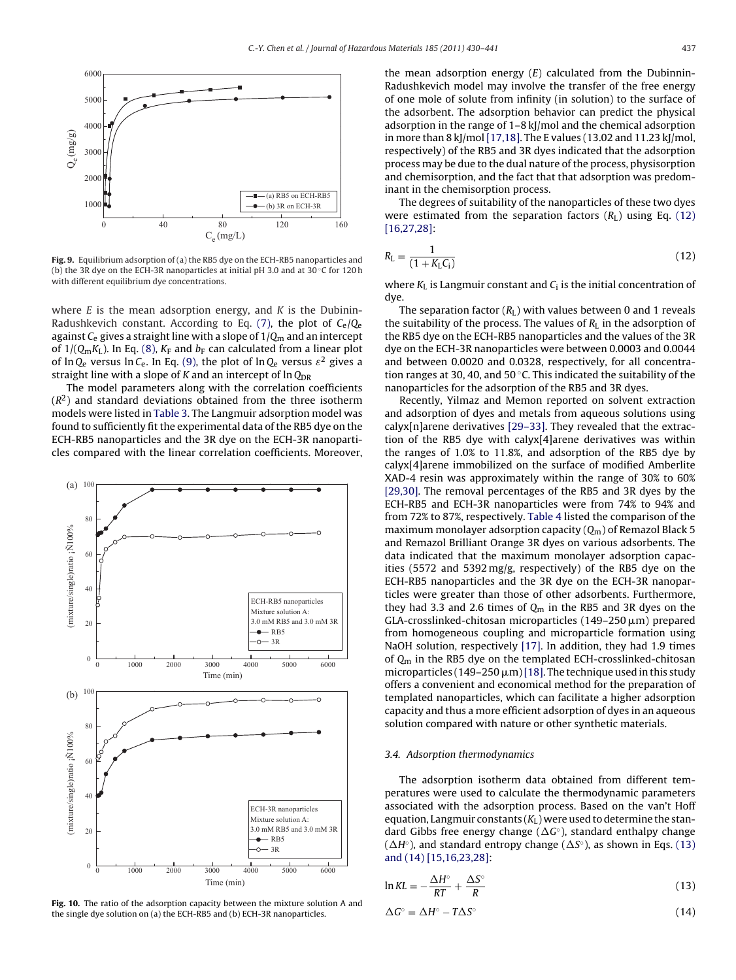<span id="page-7-0"></span>

**Fig. 9.** Equilibrium adsorption of (a) the RB5 dye on the ECH-RB5 nanoparticles and (b) the 3R dye on the ECH-3R nanoparticles at initial pH 3.0 and at 30 ◦C for 120 h with different equilibrium dye concentrations.

where  $E$  is the mean adsorption energy, and  $K$  is the Dubinin-Radushkevich constant. According to Eq. [\(7\),](#page-5-0) the plot of  $C_{\rm e}/O_{\rm e}$ against  $C_e$  gives a straight line with a slope of  $1/Q_m$  and an intercept of  $1/(Q_mK_L)$ . In Eq. [\(8\),](#page-6-0)  $K_F$  and  $b_F$  can calculated from a linear plot of ln Q<sub>e</sub> versus ln C<sub>e</sub>. In Eq. [\(9\), t](#page-6-0)he plot of ln Q<sub>e</sub> versus  $\varepsilon^2$  gives a straight line with a slope of K and an intercept of  $\ln Q_{\text{DR}}$ 

The model parameters along with the correlation coefficients  $(R<sup>2</sup>)$  and standard deviations obtained from the three isotherm models were listed in [Table 3. T](#page-8-0)he Langmuir adsorption model was found to sufficiently fit the experimental data of the RB5 dye on the ECH-RB5 nanoparticles and the 3R dye on the ECH-3R nanoparticles compared with the linear correlation coefficients. Moreover,



**Fig. 10.** The ratio of the adsorption capacity between the mixture solution A and the single dye solution on (a) the ECH-RB5 and (b) ECH-3R nanoparticles.

the mean adsorption energy  $(E)$  calculated from the Dubinnin-Radushkevich model may involve the transfer of the free energy of one mole of solute from infinity (in solution) to the surface of the adsorbent. The adsorption behavior can predict the physical adsorption in the range of 1–8 kJ/mol and the chemical adsorption in more than 8 kJ/mol [\[17,18\]. T](#page-11-0)he E values (13.02 and 11.23 kJ/mol, respectively) of the RB5 and 3R dyes indicated that the adsorption process may be due to the dual nature of the process, physisorption and chemisorption, and the fact that that adsorption was predominant in the chemisorption process.

The degrees of suitability of the nanoparticles of these two dyes were estimated from the separation factors  $(R<sub>L</sub>)$  using Eq. (12) [\[16,27,28\]:](#page-11-0)

$$
R_{\rm L} = \frac{1}{(1 + K_{\rm L}C_{\rm i})} \tag{12}
$$

where  $K_L$  is Langmuir constant and  $C_i$  is the initial concentration of dye.

The separation factor  $(R<sub>L</sub>)$  with values between 0 and 1 reveals the suitability of the process. The values of  $R<sub>L</sub>$  in the adsorption of the RB5 dye on the ECH-RB5 nanoparticles and the values of the 3R dye on the ECH-3R nanoparticles were between 0.0003 and 0.0044 and between 0.0020 and 0.0328, respectively, for all concentration ranges at 30, 40, and 50 $\degree$ C. This indicated the suitability of the nanoparticles for the adsorption of the RB5 and 3R dyes.

Recently, Yilmaz and Memon reported on solvent extraction and adsorption of dyes and metals from aqueous solutions using calyx[n]arene derivatives [\[29–33\]. T](#page-11-0)hey revealed that the extraction of the RB5 dye with calyx[4]arene derivatives was within the ranges of 1.0% to 11.8%, and adsorption of the RB5 dye by calyx[4]arene immobilized on the surface of modified Amberlite XAD-4 resin was approximately within the range of 30% to 60% [\[29,30\].](#page-11-0) The removal percentages of the RB5 and 3R dyes by the ECH-RB5 and ECH-3R nanoparticles were from 74% to 94% and from 72% to 87%, respectively. [Table 4](#page-8-0) listed the comparison of the maximum monolayer adsorption capacity  $(Q_m)$  of Remazol Black 5 and Remazol Brilliant Orange 3R dyes on various adsorbents. The data indicated that the maximum monolayer adsorption capacities (5572 and 5392 mg/g, respectively) of the RB5 dye on the ECH-RB5 nanoparticles and the 3R dye on the ECH-3R nanoparticles were greater than those of other adsorbents. Furthermore, they had 3.3 and 2.6 times of  $Q_m$  in the RB5 and 3R dyes on the  $GLA$ -crosslinked-chitosan microparticles (149–250  $\mu$ m) prepared from homogeneous coupling and microparticle formation using NaOH solution, respectively [\[17\]. I](#page-11-0)n addition, they had 1.9 times of  $Q_m$  in the RB5 dye on the templated ECH-crosslinked-chitosan microparticles (149–250  $\mu$ m) [\[18\]. T](#page-11-0)he technique used in this study offers a convenient and economical method for the preparation of templated nanoparticles, which can facilitate a higher adsorption capacity and thus a more efficient adsorption of dyes in an aqueous solution compared with nature or other synthetic materials.

## 3.4. Adsorption thermodynamics

The adsorption isotherm data obtained from different temperatures were used to calculate the thermodynamic parameters associated with the adsorption process. Based on the van't Hoff equation, Langmuir constants  $(K_L)$  were used to determine the standard Gibbs free energy change ( $\Delta G^{\circ}$ ), standard enthalpy change  $(\Delta H<sup>\circ</sup>)$ , and standard entropy change ( $\Delta S<sup>\circ</sup>$ ), as shown in Eqs. (13) and (14) [\[15,16,23,28\]:](#page-11-0)

$$
\ln KL = -\frac{\Delta H^{\circ}}{RT} + \frac{\Delta S^{\circ}}{R}
$$
\n(13)

$$
\Delta G^{\circ} = \Delta H^{\circ} - T\Delta S^{\circ} \tag{14}
$$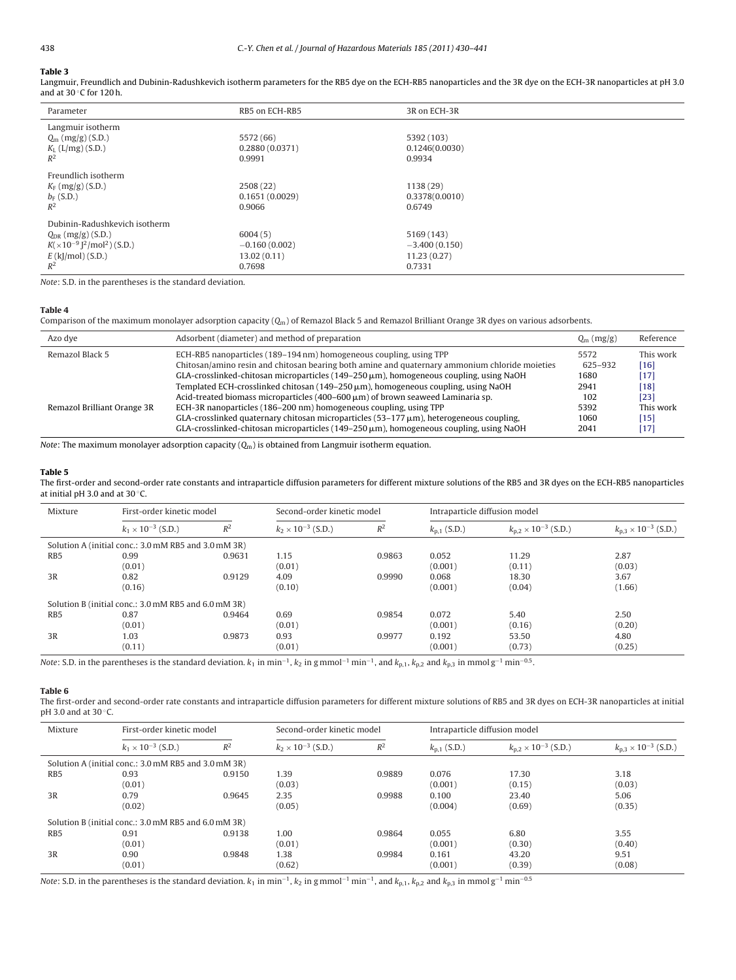### <span id="page-8-0"></span>**Table 3**

Langmuir, Freundlich and Dubinin-Radushkevich isotherm parameters for the RB5 dye on the ECH-RB5 nanoparticles and the 3R dye on the ECH-3R nanoparticles at pH 3.0 and at 30 ◦C for 120 h.

| Parameter                                                                                                               | RB5 on ECH-RB5                                      | 3R on ECH-3R                                           |
|-------------------------------------------------------------------------------------------------------------------------|-----------------------------------------------------|--------------------------------------------------------|
| Langmuir isotherm<br>$Q_{\rm m}$ (mg/g) (S.D.)<br>$K_{L}$ (L/mg) (S.D.)<br>$R^2$                                        | 5572 (66)<br>0.2880(0.0371)<br>0.9991               | 5392 (103)<br>0.1246(0.0030)<br>0.9934                 |
| Freundlich isotherm<br>$K_F$ (mg/g) (S.D.)<br>$b_F$ (S.D.)<br>$R^2$                                                     | 2508 (22)<br>0.1651(0.0029)<br>0.9066               | 1138 (29)<br>0.3378(0.0010)<br>0.6749                  |
| Dubinin-Radushkevich isotherm<br>$Q_{DR}$ (mg/g) (S.D.)<br>$K(x10^{-9})^2/mol^2$ (S.D.)<br>$E$ (kJ/mol) (S.D.)<br>$R^2$ | 6004(5)<br>$-0.160(0.002)$<br>13.02(0.11)<br>0.7698 | 5169 (143)<br>$-3,400(0.150)$<br>11.23(0.27)<br>0.7331 |

Note: S.D. in the parentheses is the standard deviation.

#### **Table 4**

Comparison of the maximum monolayer adsorption capacity  $(Q_m)$  of Remazol Black 5 and Remazol Brilliant Orange 3R dyes on various adsorbents.

| Azo dye                     | Adsorbent (diameter) and method of preparation                                                                                                                                                  | $Q_m$ (mg/g)    | Reference    |
|-----------------------------|-------------------------------------------------------------------------------------------------------------------------------------------------------------------------------------------------|-----------------|--------------|
| Remazol Black 5             | ECH-RB5 nanoparticles (189–194 nm) homogeneous coupling, using TPP                                                                                                                              | 5572            | This work    |
|                             | Chitosan/amino resin and chitosan bearing both amine and quaternary ammonium chloride moieties<br>GLA-crosslinked-chitosan microparticles ( $149-250 \mu m$ ), homogeneous coupling, using NaOH | 625-932<br>1680 | [16]<br>[17] |
|                             | Templated ECH-crosslinked chitosan $(149-250 \,\mu m)$ , homogeneous coupling, using NaOH                                                                                                       | 2941            | [18]         |
|                             | Acid-treated biomass microparticles (400–600 $\mu$ m) of brown seaweed Laminaria sp.                                                                                                            | 102             | [23]         |
| Remazol Brilliant Orange 3R | ECH-3R nanoparticles (186-200 nm) homogeneous coupling, using TPP                                                                                                                               | 5392            | This work    |
|                             | $GLA$ -crosslinked quaternary chitosan microparticles (53–177 $\mu$ m), heterogeneous coupling,                                                                                                 | 1060            | [15]         |
|                             | GLA-crosslinked-chitosan microparticles $(149-250 \,\mu m)$ , homogeneous coupling, using NaOH                                                                                                  | 2041            | [17]         |

Note: The maximum monolayer adsorption capacity  $(Q_m)$  is obtained from Langmuir isotherm equation.

#### **Table 5**

The first-order and second-order rate constants and intraparticle diffusion parameters for different mixture solutions of the RB5 and 3R dyes on the ECH-RB5 nanoparticles at initial pH 3.0 and at 30 ◦C.

| Mixture                                              | First-order kinetic model   |        | Second-order kinetic model  |        | Intraparticle diffusion model |                                         |                                 |  |
|------------------------------------------------------|-----------------------------|--------|-----------------------------|--------|-------------------------------|-----------------------------------------|---------------------------------|--|
|                                                      | $k_1 \times 10^{-3}$ (S.D.) | $R^2$  | $k_2 \times 10^{-3}$ (S.D.) | $R^2$  | $k_{p,1}$ (S.D.)              | $k_{\rm n,2}$ × 10 <sup>-3</sup> (S.D.) | $k_{n,3} \times 10^{-3}$ (S.D.) |  |
| Solution A (initial conc.: 3.0 mM RB5 and 3.0 mM 3R) |                             |        |                             |        |                               |                                         |                                 |  |
| R <sub>B5</sub>                                      | 0.99                        | 0.9631 | 1.15                        | 0.9863 | 0.052                         | 11.29                                   | 2.87                            |  |
|                                                      | (0.01)                      |        | (0.01)                      |        | (0.001)                       | (0.11)                                  | (0.03)                          |  |
| 3R                                                   | 0.82                        | 0.9129 | 4.09                        | 0.9990 | 0.068                         | 18.30                                   | 3.67                            |  |
|                                                      | (0.16)                      |        | (0.10)                      |        | (0.001)                       | (0.04)                                  | (1.66)                          |  |
| Solution B (initial conc.: 3.0 mM RB5 and 6.0 mM 3R) |                             |        |                             |        |                               |                                         |                                 |  |
| RB <sub>5</sub>                                      | 0.87                        | 0.9464 | 0.69                        | 0.9854 | 0.072                         | 5.40                                    | 2.50                            |  |
|                                                      | (0.01)                      |        | (0.01)                      |        | (0.001)                       | (0.16)                                  | (0.20)                          |  |
| 3R                                                   | 1.03                        | 0.9873 | 0.93                        | 0.9977 | 0.192                         | 53.50                                   | 4.80                            |  |
|                                                      | (0.11)                      |        | (0.01)                      |        | (0.001)                       | (0.73)                                  | (0.25)                          |  |

Note: S.D. in the parentheses is the standard deviation.  $k_1$  in min<sup>-1</sup>,  $k_2$  in g mmol<sup>-1</sup> min<sup>-1</sup>, and  $k_{p,1}$ ,  $k_{p,2}$  and  $k_{p,3}$  in mmol g<sup>-1</sup> min<sup>-0.5</sup>.

#### **Table 6**

The first-order and second-order rate constants and intraparticle diffusion parameters for different mixture solutions of RB5 and 3R dyes on ECH-3R nanoparticles at initial pH 3.0 and at 30 °C.

| Mixture         | First-order kinetic model                            |        | Second-order kinetic model  |        | Intraparticle diffusion model |                                         |                                 |
|-----------------|------------------------------------------------------|--------|-----------------------------|--------|-------------------------------|-----------------------------------------|---------------------------------|
|                 | $k_1 \times 10^{-3}$ (S.D.)                          | $R^2$  | $k_2 \times 10^{-3}$ (S.D.) | $R^2$  | $k_{p,1}$ (S.D.)              | $k_{\rm n,2}$ × 10 <sup>-3</sup> (S.D.) | $k_{0.3} \times 10^{-3}$ (S.D.) |
|                 | Solution A (initial conc.: 3.0 mM RB5 and 3.0 mM 3R) |        |                             |        |                               |                                         |                                 |
| RB <sub>5</sub> | 0.93                                                 | 0.9150 | 1.39                        | 0.9889 | 0.076                         | 17.30                                   | 3.18                            |
|                 | (0.01)                                               |        | (0.03)                      |        | (0.001)                       | (0.15)                                  | (0.03)                          |
| 3R              | 0.79                                                 | 0.9645 | 2.35                        | 0.9988 | 0.100                         | 23.40                                   | 5.06                            |
|                 | (0.02)                                               |        | (0.05)                      |        | (0.004)                       | (0.69)                                  | (0.35)                          |
|                 | Solution B (initial conc.: 3.0 mM RB5 and 6.0 mM 3R) |        |                             |        |                               |                                         |                                 |
| RB <sub>5</sub> | 0.91                                                 | 0.9138 | 1.00                        | 0.9864 | 0.055                         | 6.80                                    | 3.55                            |
|                 | (0.01)                                               |        | (0.01)                      |        | (0.001)                       | (0.30)                                  | (0.40)                          |
| 3R              | 0.90                                                 | 0.9848 | 1.38                        | 0.9984 | 0.161                         | 43.20                                   | 9.51                            |
|                 | (0.01)                                               |        | (0.62)                      |        | (0.001)                       | (0.39)                                  | (0.08)                          |

Note: S.D. in the parentheses is the standard deviation.  $k_1$  in min<sup>-1</sup>,  $k_2$  in g mmol<sup>-1</sup> min<sup>-1</sup>, and  $k_{p,1}$ ,  $k_{p,2}$  and  $k_{p,3}$  in mmol g<sup>-1</sup> min<sup>-0.5</sup>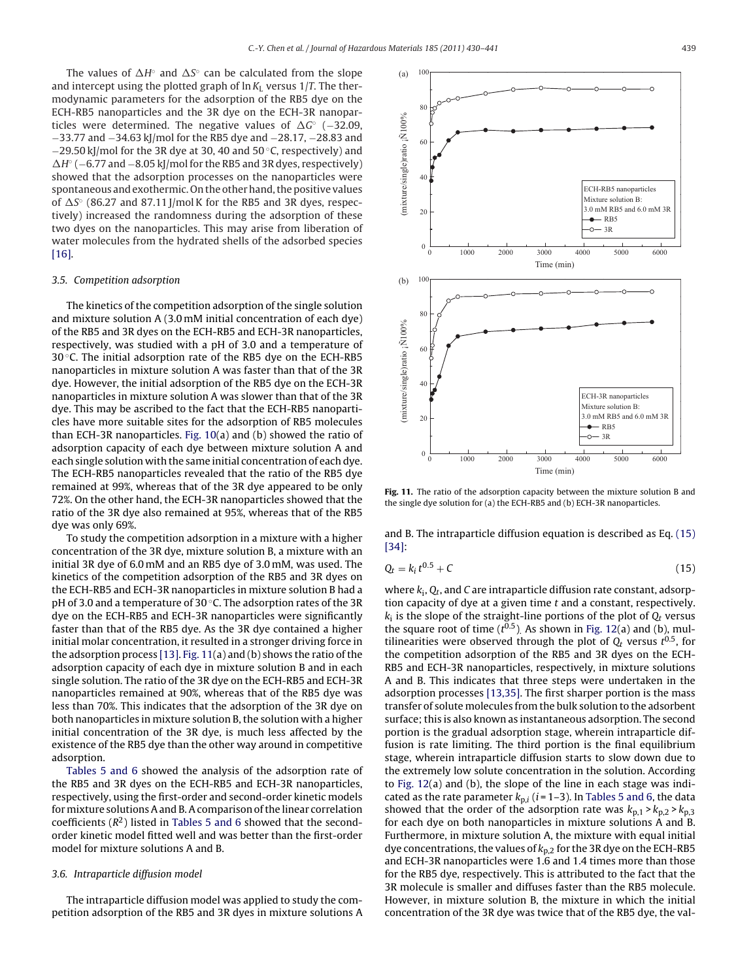The values of  $\Delta H$ ° and  $\Delta S$ ° can be calculated from the slope and intercept using the plotted graph of  $\ln K_L$  versus 1/T. The thermodynamic parameters for the adsorption of the RB5 dye on the ECH-RB5 nanoparticles and the 3R dye on the ECH-3R nanoparticles were determined. The negative values of  $\Delta G$ ° (-32.09, −33.77 and −34.63 kJ/mol for the RB5 dye and −28.17, −28.83 and −29.50 kJ/mol for the 3R dye at 30, 40 and 50 ◦C, respectively) and  $\Delta H^{\circ}$  (−6.77 and −8.05 kJ/mol for the RB5 and 3R dyes, respectively) showed that the adsorption processes on the nanoparticles were spontaneous and exothermic. On the other hand, the positive values of  $\Delta S^\circ$  (86.27 and 87.11 J/mol K for the RB5 and 3R dyes, respectively) increased the randomness during the adsorption of these two dyes on the nanoparticles. This may arise from liberation of water molecules from the hydrated shells of the adsorbed species [\[16\].](#page-11-0)

#### 3.5. Competition adsorption

The kinetics of the competition adsorption of the single solution and mixture solution A (3.0 mM initial concentration of each dye) of the RB5 and 3R dyes on the ECH-RB5 and ECH-3R nanoparticles, respectively, was studied with a pH of 3.0 and a temperature of 30 °C. The initial adsorption rate of the RB5 dye on the ECH-RB5 nanoparticles in mixture solution A was faster than that of the 3R dye. However, the initial adsorption of the RB5 dye on the ECH-3R nanoparticles in mixture solution A was slower than that of the 3R dye. This may be ascribed to the fact that the ECH-RB5 nanoparticles have more suitable sites for the adsorption of RB5 molecules than ECH-3R nanoparticles. [Fig. 10\(a](#page-7-0)) and (b) showed the ratio of adsorption capacity of each dye between mixture solution A and each single solution with the same initial concentration of each dye. The ECH-RB5 nanoparticles revealed that the ratio of the RB5 dye remained at 99%, whereas that of the 3R dye appeared to be only 72%. On the other hand, the ECH-3R nanoparticles showed that the ratio of the 3R dye also remained at 95%, whereas that of the RB5 dye was only 69%.

To study the competition adsorption in a mixture with a higher concentration of the 3R dye, mixture solution B, a mixture with an initial 3R dye of 6.0 mM and an RB5 dye of 3.0 mM, was used. The kinetics of the competition adsorption of the RB5 and 3R dyes on the ECH-RB5 and ECH-3R nanoparticles in mixture solution B had a pH of 3.0 and a temperature of 30 ◦C. The adsorption rates of the 3R dye on the ECH-RB5 and ECH-3R nanoparticles were significantly faster than that of the RB5 dye. As the 3R dye contained a higher initial molar concentration, it resulted in a stronger driving force in the adsorption process [\[13\].](#page-11-0) Fig. 11(a) and (b) shows the ratio of the adsorption capacity of each dye in mixture solution B and in each single solution. The ratio of the 3R dye on the ECH-RB5 and ECH-3R nanoparticles remained at 90%, whereas that of the RB5 dye was less than 70%. This indicates that the adsorption of the 3R dye on both nanoparticles in mixture solution B, the solution with a higher initial concentration of the 3R dye, is much less affected by the existence of the RB5 dye than the other way around in competitive adsorption.

[Tables 5 and 6](#page-8-0) showed the analysis of the adsorption rate of the RB5 and 3R dyes on the ECH-RB5 and ECH-3R nanoparticles, respectively, using the first-order and second-order kinetic models for mixture solutions A and B. A comparison of the linear correlation coefficients  $(R^2)$  listed in [Tables 5 and 6](#page-8-0) showed that the secondorder kinetic model fitted well and was better than the first-order model for mixture solutions A and B.

## 3.6. Intraparticle diffusion model

The intraparticle diffusion model was applied to study the competition adsorption of the RB5 and 3R dyes in mixture solutions A



**Fig. 11.** The ratio of the adsorption capacity between the mixture solution B and the single dye solution for (a) the ECH-RB5 and (b) ECH-3R nanoparticles.

and B. The intraparticle diffusion equation is described as Eq. (15) [\[34\]:](#page-11-0)

$$
Q_t = k_i t^{0.5} + C \tag{15}
$$

where  $k_i$ ,  $Q_t$ , and C are intraparticle diffusion rate constant, adsorption capacity of dye at a given time  $t$  and a constant, respectively.  $k_i$  is the slope of the straight-line portions of the plot of  $Q_t$  versus the square root of time  $(t^{0.5})$ . As shown in [Fig. 12\(a](#page-10-0)) and (b), multilinearities were observed through the plot of  $Q_t$  versus  $t^{0.5}$ , for the competition adsorption of the RB5 and 3R dyes on the ECH-RB5 and ECH-3R nanoparticles, respectively, in mixture solutions A and B. This indicates that three steps were undertaken in the adsorption processes [\[13,35\]. T](#page-11-0)he first sharper portion is the mass transfer of solute molecules from the bulk solution to the adsorbent surface; this is also known as instantaneous adsorption. The second portion is the gradual adsorption stage, wherein intraparticle diffusion is rate limiting. The third portion is the final equilibrium stage, wherein intraparticle diffusion starts to slow down due to the extremely low solute concentration in the solution. According to [Fig. 12\(a](#page-10-0)) and (b), the slope of the line in each stage was indicated as the rate parameter  $k_{p,i}$  ( $i = 1-3$ ). In [Tables 5 and 6, t](#page-8-0)he data showed that the order of the adsorption rate was  $k_{p,1} > k_{p,2} > k_{p,3}$ for each dye on both nanoparticles in mixture solutions A and B. Furthermore, in mixture solution A, the mixture with equal initial dye concentrations, the values of  $k_{p,2}$  for the 3R dye on the ECH-RB5 and ECH-3R nanoparticles were 1.6 and 1.4 times more than those for the RB5 dye, respectively. This is attributed to the fact that the 3R molecule is smaller and diffuses faster than the RB5 molecule. However, in mixture solution B, the mixture in which the initial concentration of the 3R dye was twice that of the RB5 dye, the val-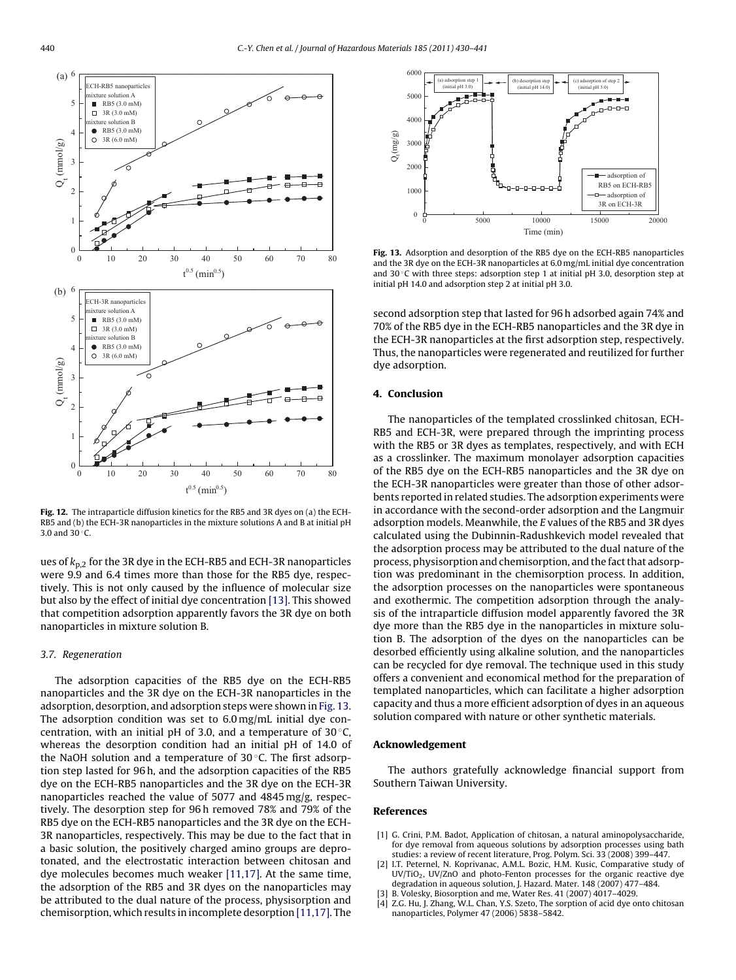<span id="page-10-0"></span>

**Fig. 12.** The intraparticle diffusion kinetics for the RB5 and 3R dyes on (a) the ECH-RB5 and (b) the ECH-3R nanoparticles in the mixture solutions A and B at initial pH 3.0 and 30 ◦C.

ues of  $k_{p,2}$  for the 3R dye in the ECH-RB5 and ECH-3R nanoparticles were 9.9 and 6.4 times more than those for the RB5 dye, respectively. This is not only caused by the influence of molecular size but also by the effect of initial dye concentration [\[13\]. T](#page-11-0)his showed that competition adsorption apparently favors the 3R dye on both nanoparticles in mixture solution B.

#### 3.7. Regeneration

The adsorption capacities of the RB5 dye on the ECH-RB5 nanoparticles and the 3R dye on the ECH-3R nanoparticles in the adsorption, desorption, and adsorption steps were shown in Fig. 13. The adsorption condition was set to 6.0 mg/mL initial dye concentration, with an initial pH of 3.0, and a temperature of  $30^{\circ}$ C, whereas the desorption condition had an initial pH of 14.0 of the NaOH solution and a temperature of 30 ◦C. The first adsorption step lasted for 96 h, and the adsorption capacities of the RB5 dye on the ECH-RB5 nanoparticles and the 3R dye on the ECH-3R nanoparticles reached the value of 5077 and 4845 mg/g, respectively. The desorption step for 96 h removed 78% and 79% of the RB5 dye on the ECH-RB5 nanoparticles and the 3R dye on the ECH-3R nanoparticles, respectively. This may be due to the fact that in a basic solution, the positively charged amino groups are deprotonated, and the electrostatic interaction between chitosan and dye molecules becomes much weaker [\[11,17\]. A](#page-11-0)t the same time, the adsorption of the RB5 and 3R dyes on the nanoparticles may be attributed to the dual nature of the process, physisorption and chemisorption, which results in incomplete desorption [\[11,17\]. T](#page-11-0)he



**Fig. 13.** Adsorption and desorption of the RB5 dye on the ECH-RB5 nanoparticles and the 3R dye on the ECH-3R nanoparticles at 6.0 mg/mL initial dye concentration and 30 $\degree$ C with three steps: adsorption step 1 at initial pH 3.0, desorption step at initial pH 14.0 and adsorption step 2 at initial pH 3.0.

second adsorption step that lasted for 96 h adsorbed again 74% and 70% of the RB5 dye in the ECH-RB5 nanoparticles and the 3R dye in the ECH-3R nanoparticles at the first adsorption step, respectively. Thus, the nanoparticles were regenerated and reutilized for further dye adsorption.

### **4. Conclusion**

The nanoparticles of the templated crosslinked chitosan, ECH-RB5 and ECH-3R, were prepared through the imprinting process with the RB5 or 3R dyes as templates, respectively, and with ECH as a crosslinker. The maximum monolayer adsorption capacities of the RB5 dye on the ECH-RB5 nanoparticles and the 3R dye on the ECH-3R nanoparticles were greater than those of other adsorbents reported in related studies. The adsorption experiments were in accordance with the second-order adsorption and the Langmuir adsorption models. Meanwhile, the E values of the RB5 and 3R dyes calculated using the Dubinnin-Radushkevich model revealed that the adsorption process may be attributed to the dual nature of the process, physisorption and chemisorption, and the fact that adsorption was predominant in the chemisorption process. In addition, the adsorption processes on the nanoparticles were spontaneous and exothermic. The competition adsorption through the analysis of the intraparticle diffusion model apparently favored the 3R dye more than the RB5 dye in the nanoparticles in mixture solution B. The adsorption of the dyes on the nanoparticles can be desorbed efficiently using alkaline solution, and the nanoparticles can be recycled for dye removal. The technique used in this study offers a convenient and economical method for the preparation of templated nanoparticles, which can facilitate a higher adsorption capacity and thus a more efficient adsorption of dyes in an aqueous solution compared with nature or other synthetic materials.

#### **Acknowledgement**

The authors gratefully acknowledge financial support from Southern Taiwan University.

#### **References**

- [1] G. Crini, P.M. Badot, Application of chitosan, a natural aminopolysaccharide, for dye removal from aqueous solutions by adsorption processes using bath studies: a review of recent literature, Prog. Polym. Sci. 33 (2008) 399–447.
- [2] I.T. Peternel, N. Koprivanac, A.M.L. Bozic, H.M. Kusic, Comparative study of UV/TiO2, UV/ZnO and photo-Fenton processes for the organic reactive dye degradation in aqueous solution, J. Hazard. Mater. 148 (2007) 477–484.
- [3] B. Volesky, Biosorption and me, Water Res. 41 (2007) 4017–4029.
- [4] Z.G. Hu, J. Zhang, W.L. Chan, Y.S. Szeto, The sorption of acid dye onto chitosan nanoparticles, Polymer 47 (2006) 5838–5842.